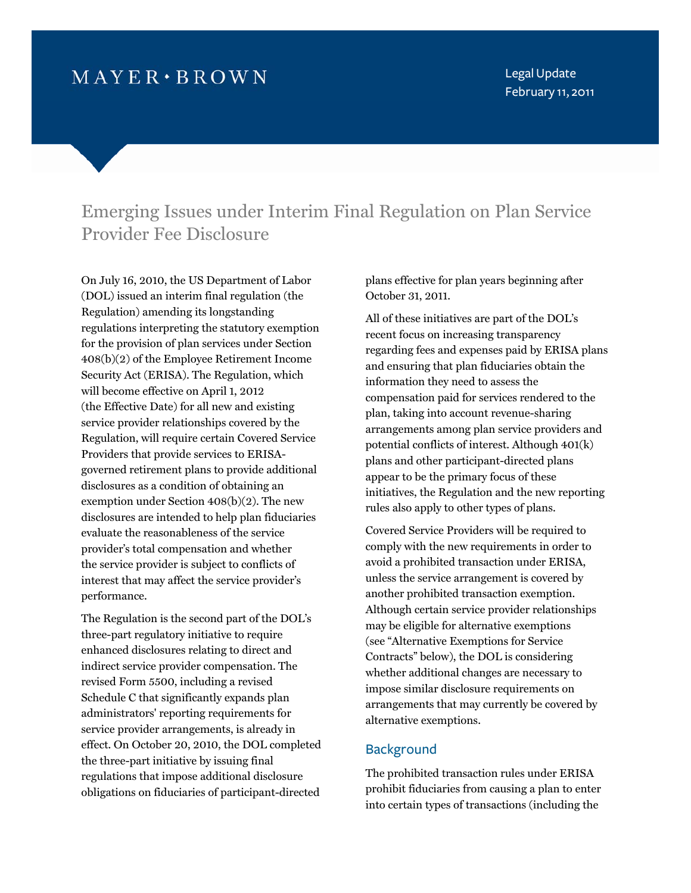# $MAYER \cdot BROWN$

Legal Update February 11, 2011

# Emerging Issues under Interim Final Regulation on Plan Service Provider Fee Disclosure

On July 16, 2010, the US Department of Labor (DOL) issued an interim final regulation (the Regulation) amending its longstanding regulations interpreting the statutory exemption for the provision of plan services under Section 408(b)(2) of the Employee Retirement Income Security Act (ERISA). The Regulation, which will become effective on April 1, 2012 (the Effective Date) for all new and existing service provider relationships covered by the Regulation, will require certain Covered Service Providers that provide services to ERISAgoverned retirement plans to provide additional disclosures as a condition of obtaining an exemption under Section 408(b)(2). The new disclosures are intended to help plan fiduciaries evaluate the reasonableness of the service provider's total compensation and whether the service provider is subject to conflicts of interest that may affect the service provider's performance.

The Regulation is the second part of the DOL's three-part regulatory initiative to require enhanced disclosures relating to direct and indirect service provider compensation. The revised Form 5500, including a revised Schedule C that significantly expands plan administrators' reporting requirements for service provider arrangements, is already in effect. On October 20, 2010, the DOL completed the three-part initiative by issuing final regulations that impose additional disclosure obligations on fiduciaries of participant-directed

plans effective for plan years beginning after October 31, 2011.

All of these initiatives are part of the DOL's recent focus on increasing transparency regarding fees and expenses paid by ERISA plans and ensuring that plan fiduciaries obtain the information they need to assess the compensation paid for services rendered to the plan, taking into account revenue-sharing arrangements among plan service providers and potential conflicts of interest. Although 401(k) plans and other participant-directed plans appear to be the primary focus of these initiatives, the Regulation and the new reporting rules also apply to other types of plans.

Covered Service Providers will be required to comply with the new requirements in order to avoid a prohibited transaction under ERISA, unless the service arrangement is covered by another prohibited transaction exemption. Although certain service provider relationships may be eligible for alternative exemptions (see "Alternative Exemptions for Service Contracts" below), the DOL is considering whether additional changes are necessary to impose similar disclosure requirements on arrangements that may currently be covered by alternative exemptions.

# **Background**

The prohibited transaction rules under ERISA prohibit fiduciaries from causing a plan to enter into certain types of transactions (including the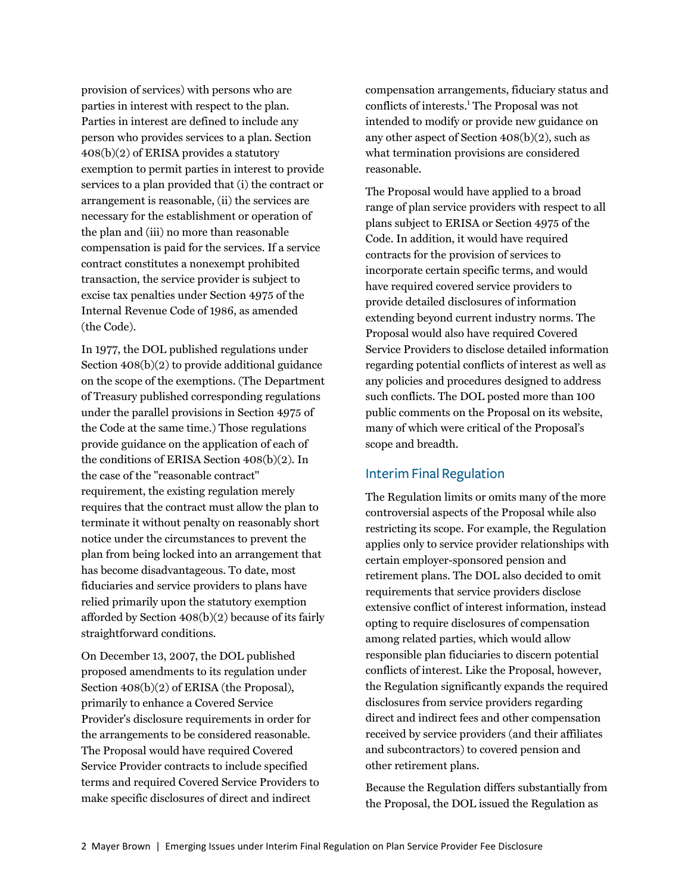provision of services) with persons who are parties in interest with respect to the plan. Parties in interest are defined to include any person who provides services to a plan. Section 408(b)(2) of ERISA provides a statutory exemption to permit parties in interest to provide services to a plan provided that (i) the contract or arrangement is reasonable, (ii) the services are necessary for the establishment or operation of the plan and (iii) no more than reasonable compensation is paid for the services. If a service contract constitutes a nonexempt prohibited transaction, the service provider is subject to excise tax penalties under Section 4975 of the Internal Revenue Code of 1986, as amended (the Code).

In 1977, the DOL published regulations under Section 408(b)(2) to provide additional guidance on the scope of the exemptions. (The Department of Treasury published corresponding regulations under the parallel provisions in Section 4975 of the Code at the same time.) Those regulations provide guidance on the application of each of the conditions of ERISA Section 408(b)(2). In the case of the "reasonable contract" requirement, the existing regulation merely requires that the contract must allow the plan to terminate it without penalty on reasonably short notice under the circumstances to prevent the plan from being locked into an arrangement that has become disadvantageous. To date, most fiduciaries and service providers to plans have relied primarily upon the statutory exemption afforded by Section 408(b)(2) because of its fairly straightforward conditions.

On December 13, 2007, the DOL published proposed amendments to its regulation under Section 408(b)(2) of ERISA (the Proposal), primarily to enhance a Covered Service Provider's disclosure requirements in order for the arrangements to be considered reasonable. The Proposal would have required Covered Service Provider contracts to include specified terms and required Covered Service Providers to make specific disclosures of direct and indirect

compensation arrangements, fiduciary status and conflicts of interests.<sup>1</sup> The Proposal was not intended to modify or provide new guidance on any other aspect of Section 408(b)(2), such as what termination provisions are considered reasonable.

The Proposal would have applied to a broad range of plan service providers with respect to all plans subject to ERISA or Section 4975 of the Code. In addition, it would have required contracts for the provision of services to incorporate certain specific terms, and would have required covered service providers to provide detailed disclosures of information extending beyond current industry norms. The Proposal would also have required Covered Service Providers to disclose detailed information regarding potential conflicts of interest as well as any policies and procedures designed to address such conflicts. The DOL posted more than 100 public comments on the Proposal on its website, many of which were critical of the Proposal's scope and breadth.

# Interim Final Regulation

The Regulation limits or omits many of the more controversial aspects of the Proposal while also restricting its scope. For example, the Regulation applies only to service provider relationships with certain employer-sponsored pension and retirement plans. The DOL also decided to omit requirements that service providers disclose extensive conflict of interest information, instead opting to require disclosures of compensation among related parties, which would allow responsible plan fiduciaries to discern potential conflicts of interest. Like the Proposal, however, the Regulation significantly expands the required disclosures from service providers regarding direct and indirect fees and other compensation received by service providers (and their affiliates and subcontractors) to covered pension and other retirement plans.

Because the Regulation differs substantially from the Proposal, the DOL issued the Regulation as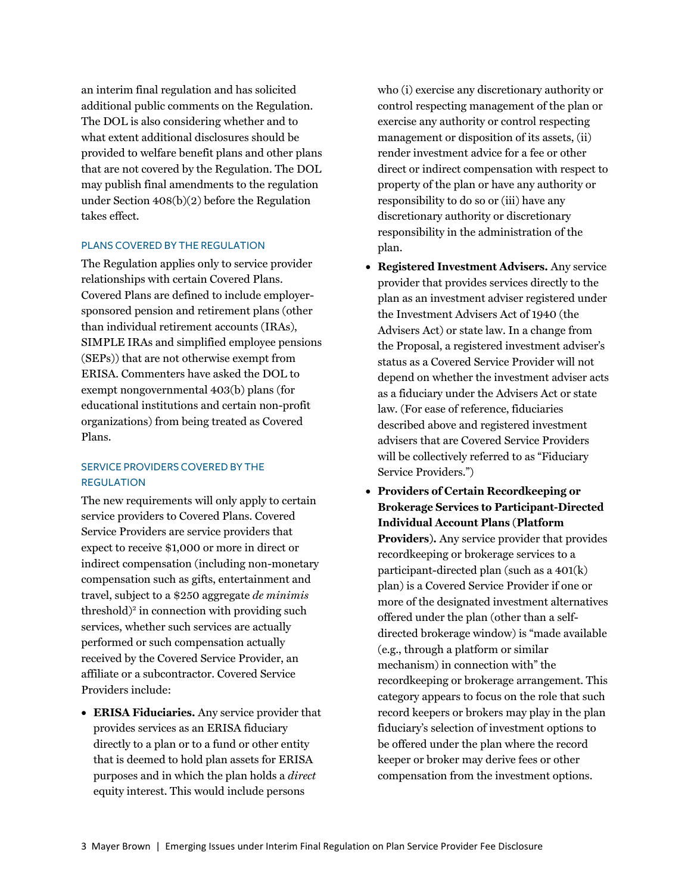an interim final regulation and has solicited additional public comments on the Regulation. The DOL is also considering whether and to what extent additional disclosures should be provided to welfare benefit plans and other plans that are not covered by the Regulation. The DOL may publish final amendments to the regulation under Section 408(b)(2) before the Regulation takes effect.

#### PLANS COVERED BY THE REGULATION

The Regulation applies only to service provider relationships with certain Covered Plans. Covered Plans are defined to include employersponsored pension and retirement plans (other than individual retirement accounts (IRAs), SIMPLE IRAs and simplified employee pensions (SEPs)) that are not otherwise exempt from ERISA. Commenters have asked the DOL to exempt nongovernmental 403(b) plans (for educational institutions and certain non-profit organizations) from being treated as Covered Plans.

### SERVICE PROVIDERS COVERED BY THE REGULATION

The new requirements will only apply to certain service providers to Covered Plans. Covered Service Providers are service providers that expect to receive \$1,000 or more in direct or indirect compensation (including non-monetary compensation such as gifts, entertainment and travel, subject to a \$250 aggregate *de minimis*  $threshold)^2$  in connection with providing such services, whether such services are actually performed or such compensation actually received by the Covered Service Provider, an affiliate or a subcontractor. Covered Service Providers include:

 **ERISA Fiduciaries.** Any service provider that provides services as an ERISA fiduciary directly to a plan or to a fund or other entity that is deemed to hold plan assets for ERISA purposes and in which the plan holds a *direct* equity interest. This would include persons

who (i) exercise any discretionary authority or control respecting management of the plan or exercise any authority or control respecting management or disposition of its assets, (ii) render investment advice for a fee or other direct or indirect compensation with respect to property of the plan or have any authority or responsibility to do so or (iii) have any discretionary authority or discretionary responsibility in the administration of the plan.

- **Registered Investment Advisers.** Any service provider that provides services directly to the plan as an investment adviser registered under the Investment Advisers Act of 1940 (the Advisers Act) or state law. In a change from the Proposal, a registered investment adviser's status as a Covered Service Provider will not depend on whether the investment adviser acts as a fiduciary under the Advisers Act or state law. (For ease of reference, fiduciaries described above and registered investment advisers that are Covered Service Providers will be collectively referred to as "Fiduciary Service Providers.")
- **Providers of Certain Recordkeeping or Brokerage Services to Participant-Directed Individual Account Plans (Platform Providers).** Any service provider that provides recordkeeping or brokerage services to a participant-directed plan (such as a 401(k) plan) is a Covered Service Provider if one or more of the designated investment alternatives offered under the plan (other than a selfdirected brokerage window) is "made available (e.g., through a platform or similar mechanism) in connection with" the recordkeeping or brokerage arrangement. This category appears to focus on the role that such record keepers or brokers may play in the plan fiduciary's selection of investment options to be offered under the plan where the record keeper or broker may derive fees or other compensation from the investment options.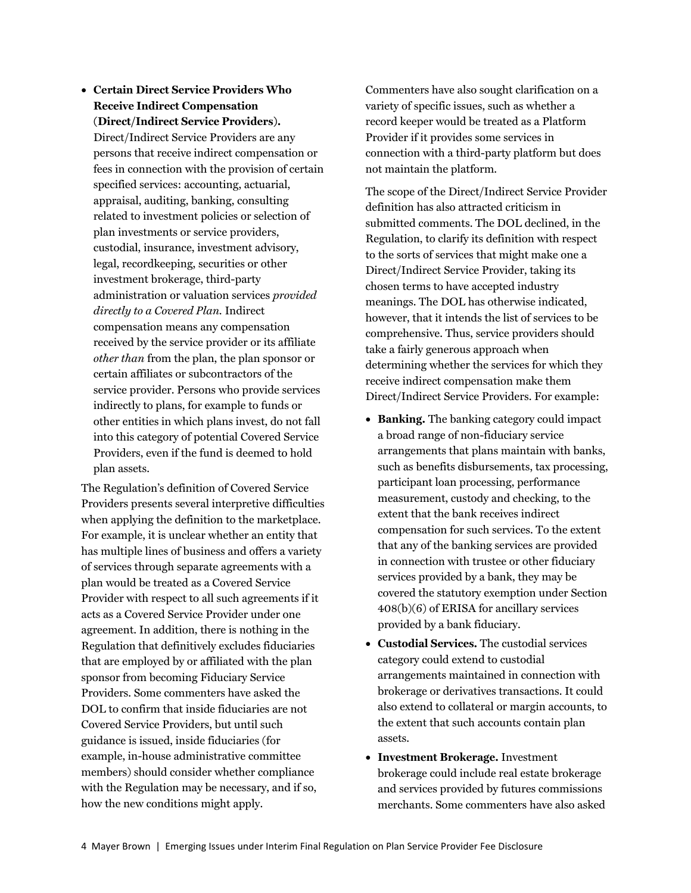**Certain Direct Service Providers Who Receive Indirect Compensation (Direct/Indirect Service Providers).** Direct/Indirect Service Providers are any persons that receive indirect compensation or fees in connection with the provision of certain specified services: accounting, actuarial, appraisal, auditing, banking, consulting related to investment policies or selection of plan investments or service providers, custodial, insurance, investment advisory, legal, recordkeeping, securities or other investment brokerage, third-party administration or valuation services *provided directly to a Covered Plan.* Indirect compensation means any compensation received by the service provider or its affiliate *other than* from the plan, the plan sponsor or certain affiliates or subcontractors of the service provider. Persons who provide services indirectly to plans, for example to funds or other entities in which plans invest, do not fall into this category of potential Covered Service Providers, even if the fund is deemed to hold plan assets.

The Regulation's definition of Covered Service Providers presents several interpretive difficulties when applying the definition to the marketplace. For example, it is unclear whether an entity that has multiple lines of business and offers a variety of services through separate agreements with a plan would be treated as a Covered Service Provider with respect to all such agreements if it acts as a Covered Service Provider under one agreement. In addition, there is nothing in the Regulation that definitively excludes fiduciaries that are employed by or affiliated with the plan sponsor from becoming Fiduciary Service Providers. Some commenters have asked the DOL to confirm that inside fiduciaries are not Covered Service Providers, but until such guidance is issued, inside fiduciaries (for example, in-house administrative committee members) should consider whether compliance with the Regulation may be necessary, and if so, how the new conditions might apply.

Commenters have also sought clarification on a variety of specific issues, such as whether a record keeper would be treated as a Platform Provider if it provides some services in connection with a third-party platform but does not maintain the platform.

The scope of the Direct/Indirect Service Provider definition has also attracted criticism in submitted comments. The DOL declined, in the Regulation, to clarify its definition with respect to the sorts of services that might make one a Direct/Indirect Service Provider, taking its chosen terms to have accepted industry meanings. The DOL has otherwise indicated, however, that it intends the list of services to be comprehensive. Thus, service providers should take a fairly generous approach when determining whether the services for which they receive indirect compensation make them Direct/Indirect Service Providers. For example:

- **Banking.** The banking category could impact a broad range of non-fiduciary service arrangements that plans maintain with banks, such as benefits disbursements, tax processing, participant loan processing, performance measurement, custody and checking, to the extent that the bank receives indirect compensation for such services. To the extent that any of the banking services are provided in connection with trustee or other fiduciary services provided by a bank, they may be covered the statutory exemption under Section 408(b)(6) of ERISA for ancillary services provided by a bank fiduciary.
- **Custodial Services.** The custodial services category could extend to custodial arrangements maintained in connection with brokerage or derivatives transactions. It could also extend to collateral or margin accounts, to the extent that such accounts contain plan assets.
- **Investment Brokerage.** Investment brokerage could include real estate brokerage and services provided by futures commissions merchants. Some commenters have also asked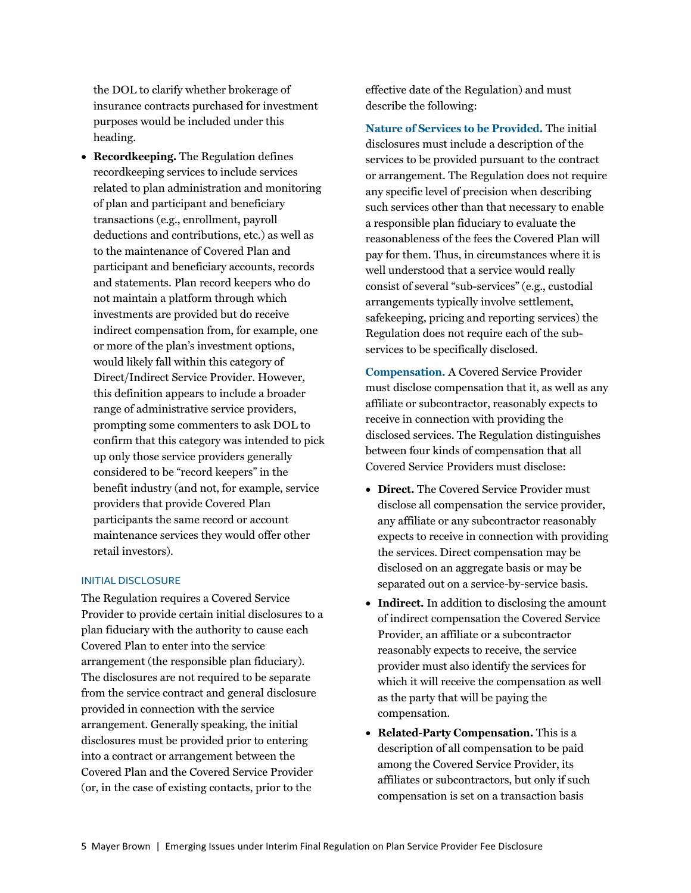the DOL to clarify whether brokerage of insurance contracts purchased for investment purposes would be included under this heading.

 **Recordkeeping.** The Regulation defines recordkeeping services to include services related to plan administration and monitoring of plan and participant and beneficiary transactions (e.g., enrollment, payroll deductions and contributions, etc.) as well as to the maintenance of Covered Plan and participant and beneficiary accounts, records and statements. Plan record keepers who do not maintain a platform through which investments are provided but do receive indirect compensation from, for example, one or more of the plan's investment options, would likely fall within this category of Direct/Indirect Service Provider. However, this definition appears to include a broader range of administrative service providers, prompting some commenters to ask DOL to confirm that this category was intended to pick up only those service providers generally considered to be "record keepers" in the benefit industry (and not, for example, service providers that provide Covered Plan participants the same record or account maintenance services they would offer other retail investors).

#### INITIAL DISCLOSURE

The Regulation requires a Covered Service Provider to provide certain initial disclosures to a plan fiduciary with the authority to cause each Covered Plan to enter into the service arrangement (the responsible plan fiduciary). The disclosures are not required to be separate from the service contract and general disclosure provided in connection with the service arrangement. Generally speaking, the initial disclosures must be provided prior to entering into a contract or arrangement between the Covered Plan and the Covered Service Provider (or, in the case of existing contacts, prior to the

effective date of the Regulation) and must describe the following:

**Nature of Services to be Provided.** The initial disclosures must include a description of the services to be provided pursuant to the contract or arrangement. The Regulation does not require any specific level of precision when describing such services other than that necessary to enable a responsible plan fiduciary to evaluate the reasonableness of the fees the Covered Plan will pay for them. Thus, in circumstances where it is well understood that a service would really consist of several "sub-services" (e.g., custodial arrangements typically involve settlement, safekeeping, pricing and reporting services) the Regulation does not require each of the subservices to be specifically disclosed.

**Compensation.** A Covered Service Provider must disclose compensation that it, as well as any affiliate or subcontractor, reasonably expects to receive in connection with providing the disclosed services. The Regulation distinguishes between four kinds of compensation that all Covered Service Providers must disclose:

- **Direct.** The Covered Service Provider must disclose all compensation the service provider, any affiliate or any subcontractor reasonably expects to receive in connection with providing the services. Direct compensation may be disclosed on an aggregate basis or may be separated out on a service-by-service basis.
- **Indirect.** In addition to disclosing the amount of indirect compensation the Covered Service Provider, an affiliate or a subcontractor reasonably expects to receive, the service provider must also identify the services for which it will receive the compensation as well as the party that will be paying the compensation.
- **Related-Party Compensation.** This is a description of all compensation to be paid among the Covered Service Provider, its affiliates or subcontractors, but only if such compensation is set on a transaction basis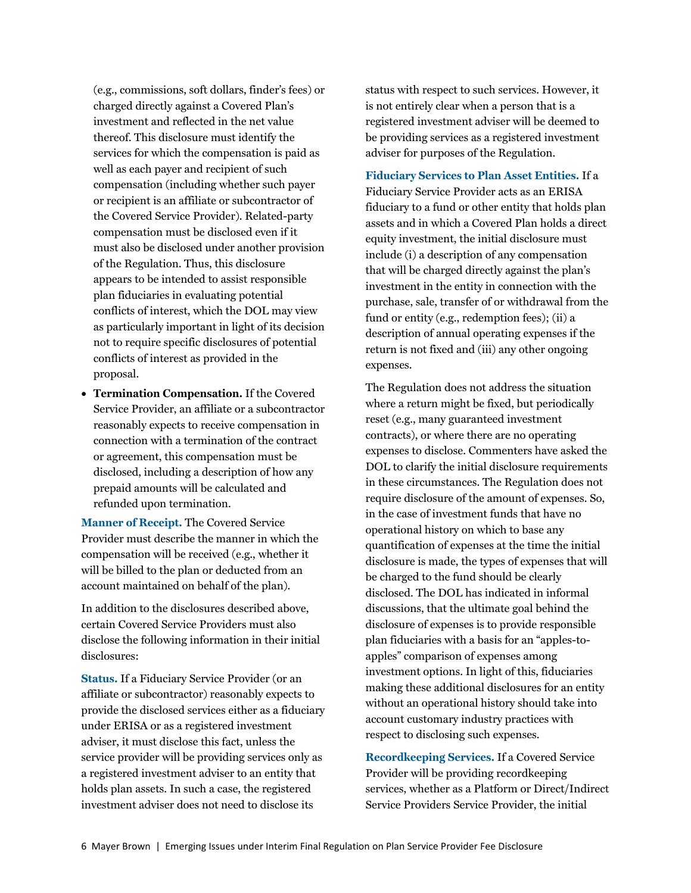(e.g., commissions, soft dollars, finder's fees) or charged directly against a Covered Plan's investment and reflected in the net value thereof. This disclosure must identify the services for which the compensation is paid as well as each payer and recipient of such compensation (including whether such payer or recipient is an affiliate or subcontractor of the Covered Service Provider). Related-party compensation must be disclosed even if it must also be disclosed under another provision of the Regulation. Thus, this disclosure appears to be intended to assist responsible plan fiduciaries in evaluating potential conflicts of interest, which the DOL may view as particularly important in light of its decision not to require specific disclosures of potential conflicts of interest as provided in the proposal.

 **Termination Compensation.** If the Covered Service Provider, an affiliate or a subcontractor reasonably expects to receive compensation in connection with a termination of the contract or agreement, this compensation must be disclosed, including a description of how any prepaid amounts will be calculated and refunded upon termination.

**Manner of Receipt.** The Covered Service Provider must describe the manner in which the compensation will be received (e.g., whether it will be billed to the plan or deducted from an account maintained on behalf of the plan).

In addition to the disclosures described above, certain Covered Service Providers must also disclose the following information in their initial disclosures:

**Status.** If a Fiduciary Service Provider (or an affiliate or subcontractor) reasonably expects to provide the disclosed services either as a fiduciary under ERISA or as a registered investment adviser, it must disclose this fact, unless the service provider will be providing services only as a registered investment adviser to an entity that holds plan assets. In such a case, the registered investment adviser does not need to disclose its

status with respect to such services. However, it is not entirely clear when a person that is a registered investment adviser will be deemed to be providing services as a registered investment adviser for purposes of the Regulation.

**Fiduciary Services to Plan Asset Entities.** If a Fiduciary Service Provider acts as an ERISA fiduciary to a fund or other entity that holds plan assets and in which a Covered Plan holds a direct equity investment, the initial disclosure must include (i) a description of any compensation that will be charged directly against the plan's investment in the entity in connection with the purchase, sale, transfer of or withdrawal from the fund or entity (e.g., redemption fees); (ii) a description of annual operating expenses if the return is not fixed and (iii) any other ongoing expenses.

The Regulation does not address the situation where a return might be fixed, but periodically reset (e.g., many guaranteed investment contracts), or where there are no operating expenses to disclose. Commenters have asked the DOL to clarify the initial disclosure requirements in these circumstances. The Regulation does not require disclosure of the amount of expenses. So, in the case of investment funds that have no operational history on which to base any quantification of expenses at the time the initial disclosure is made, the types of expenses that will be charged to the fund should be clearly disclosed. The DOL has indicated in informal discussions, that the ultimate goal behind the disclosure of expenses is to provide responsible plan fiduciaries with a basis for an "apples-toapples" comparison of expenses among investment options. In light of this, fiduciaries making these additional disclosures for an entity without an operational history should take into account customary industry practices with respect to disclosing such expenses.

**Recordkeeping Services.** If a Covered Service Provider will be providing recordkeeping services, whether as a Platform or Direct/Indirect Service Providers Service Provider, the initial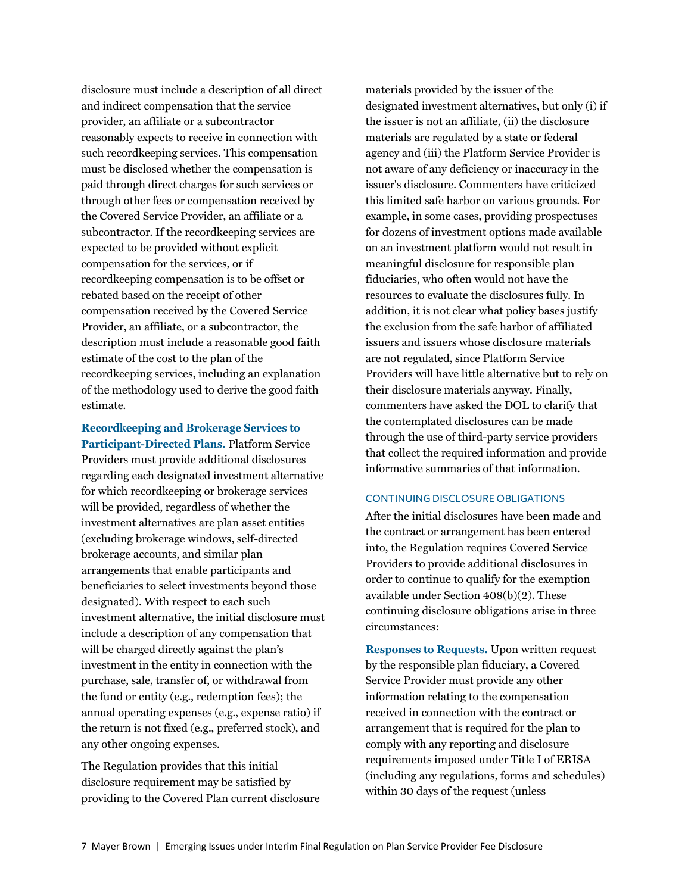disclosure must include a description of all direct and indirect compensation that the service provider, an affiliate or a subcontractor reasonably expects to receive in connection with such recordkeeping services. This compensation must be disclosed whether the compensation is paid through direct charges for such services or through other fees or compensation received by the Covered Service Provider, an affiliate or a subcontractor. If the recordkeeping services are expected to be provided without explicit compensation for the services, or if recordkeeping compensation is to be offset or rebated based on the receipt of other compensation received by the Covered Service Provider, an affiliate, or a subcontractor, the description must include a reasonable good faith estimate of the cost to the plan of the recordkeeping services, including an explanation of the methodology used to derive the good faith estimate.

**Recordkeeping and Brokerage Services to Participant-Directed Plans.** Platform Service Providers must provide additional disclosures regarding each designated investment alternative for which recordkeeping or brokerage services will be provided, regardless of whether the investment alternatives are plan asset entities (excluding brokerage windows, self-directed brokerage accounts, and similar plan arrangements that enable participants and beneficiaries to select investments beyond those designated). With respect to each such investment alternative, the initial disclosure must include a description of any compensation that will be charged directly against the plan's investment in the entity in connection with the purchase, sale, transfer of, or withdrawal from the fund or entity (e.g., redemption fees); the annual operating expenses (e.g., expense ratio) if the return is not fixed (e.g., preferred stock), and any other ongoing expenses.

The Regulation provides that this initial disclosure requirement may be satisfied by providing to the Covered Plan current disclosure materials provided by the issuer of the designated investment alternatives, but only (i) if the issuer is not an affiliate, (ii) the disclosure materials are regulated by a state or federal agency and (iii) the Platform Service Provider is not aware of any deficiency or inaccuracy in the issuer's disclosure. Commenters have criticized this limited safe harbor on various grounds. For example, in some cases, providing prospectuses for dozens of investment options made available on an investment platform would not result in meaningful disclosure for responsible plan fiduciaries, who often would not have the resources to evaluate the disclosures fully. In addition, it is not clear what policy bases justify the exclusion from the safe harbor of affiliated issuers and issuers whose disclosure materials are not regulated, since Platform Service Providers will have little alternative but to rely on their disclosure materials anyway. Finally, commenters have asked the DOL to clarify that the contemplated disclosures can be made through the use of third-party service providers that collect the required information and provide informative summaries of that information.

#### CONTINUING DISCLOSURE OBLIGATIONS

After the initial disclosures have been made and the contract or arrangement has been entered into, the Regulation requires Covered Service Providers to provide additional disclosures in order to continue to qualify for the exemption available under Section 408(b)(2). These continuing disclosure obligations arise in three circumstances:

**Responses to Requests.** Upon written request by the responsible plan fiduciary, a Covered Service Provider must provide any other information relating to the compensation received in connection with the contract or arrangement that is required for the plan to comply with any reporting and disclosure requirements imposed under Title I of ERISA (including any regulations, forms and schedules) within 30 days of the request (unless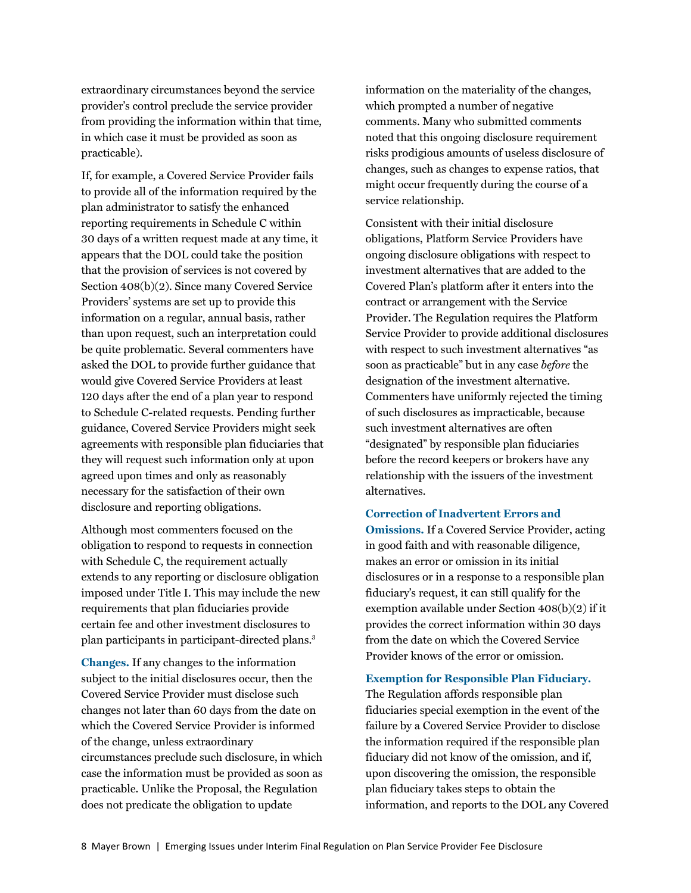extraordinary circumstances beyond the service provider's control preclude the service provider from providing the information within that time, in which case it must be provided as soon as practicable).

If, for example, a Covered Service Provider fails to provide all of the information required by the plan administrator to satisfy the enhanced reporting requirements in Schedule C within 30 days of a written request made at any time, it appears that the DOL could take the position that the provision of services is not covered by Section 408(b)(2). Since many Covered Service Providers' systems are set up to provide this information on a regular, annual basis, rather than upon request, such an interpretation could be quite problematic. Several commenters have asked the DOL to provide further guidance that would give Covered Service Providers at least 120 days after the end of a plan year to respond to Schedule C-related requests. Pending further guidance, Covered Service Providers might seek agreements with responsible plan fiduciaries that they will request such information only at upon agreed upon times and only as reasonably necessary for the satisfaction of their own disclosure and reporting obligations.

Although most commenters focused on the obligation to respond to requests in connection with Schedule C, the requirement actually extends to any reporting or disclosure obligation imposed under Title I. This may include the new requirements that plan fiduciaries provide certain fee and other investment disclosures to plan participants in participant-directed plans.3

**Changes.** If any changes to the information subject to the initial disclosures occur, then the Covered Service Provider must disclose such changes not later than 60 days from the date on which the Covered Service Provider is informed of the change, unless extraordinary circumstances preclude such disclosure, in which case the information must be provided as soon as practicable. Unlike the Proposal, the Regulation does not predicate the obligation to update

information on the materiality of the changes, which prompted a number of negative comments. Many who submitted comments noted that this ongoing disclosure requirement risks prodigious amounts of useless disclosure of changes, such as changes to expense ratios, that might occur frequently during the course of a service relationship.

Consistent with their initial disclosure obligations, Platform Service Providers have ongoing disclosure obligations with respect to investment alternatives that are added to the Covered Plan's platform after it enters into the contract or arrangement with the Service Provider. The Regulation requires the Platform Service Provider to provide additional disclosures with respect to such investment alternatives "as soon as practicable" but in any case *before* the designation of the investment alternative. Commenters have uniformly rejected the timing of such disclosures as impracticable, because such investment alternatives are often "designated" by responsible plan fiduciaries before the record keepers or brokers have any relationship with the issuers of the investment alternatives.

#### **Correction of Inadvertent Errors and**

**Omissions.** If a Covered Service Provider, acting in good faith and with reasonable diligence, makes an error or omission in its initial disclosures or in a response to a responsible plan fiduciary's request, it can still qualify for the exemption available under Section 408(b)(2) if it provides the correct information within 30 days from the date on which the Covered Service Provider knows of the error or omission.

#### **Exemption for Responsible Plan Fiduciary.**

The Regulation affords responsible plan fiduciaries special exemption in the event of the failure by a Covered Service Provider to disclose the information required if the responsible plan fiduciary did not know of the omission, and if, upon discovering the omission, the responsible plan fiduciary takes steps to obtain the information, and reports to the DOL any Covered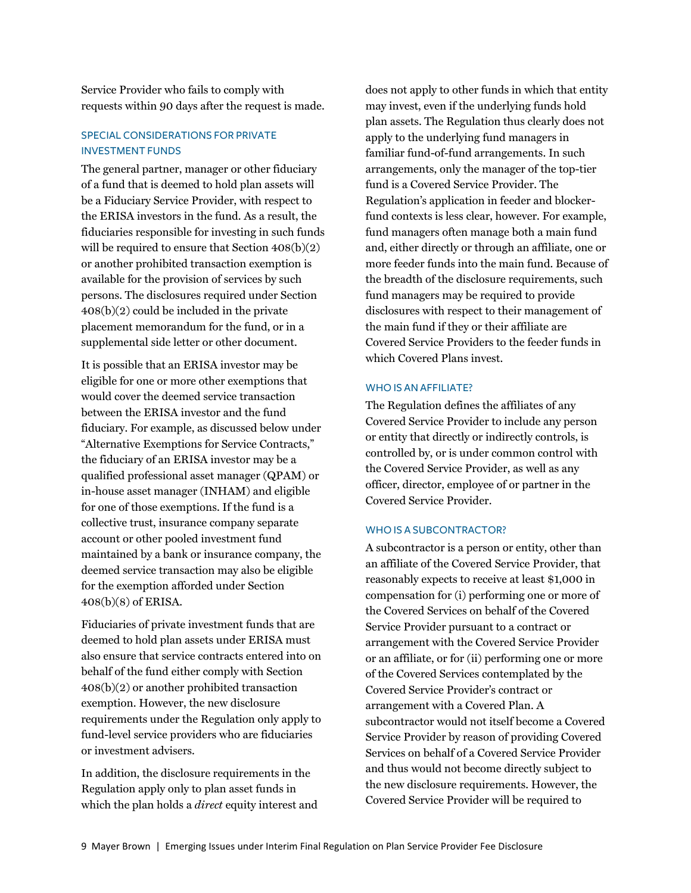Service Provider who fails to comply with requests within 90 days after the request is made.

## SPECIAL CONSIDERATIONS FOR PRIVATE INVESTMENT FUNDS

The general partner, manager or other fiduciary of a fund that is deemed to hold plan assets will be a Fiduciary Service Provider, with respect to the ERISA investors in the fund. As a result, the fiduciaries responsible for investing in such funds will be required to ensure that Section 408(b)(2) or another prohibited transaction exemption is available for the provision of services by such persons. The disclosures required under Section 408(b)(2) could be included in the private placement memorandum for the fund, or in a supplemental side letter or other document.

It is possible that an ERISA investor may be eligible for one or more other exemptions that would cover the deemed service transaction between the ERISA investor and the fund fiduciary. For example, as discussed below under "Alternative Exemptions for Service Contracts," the fiduciary of an ERISA investor may be a qualified professional asset manager (QPAM) or in-house asset manager (INHAM) and eligible for one of those exemptions. If the fund is a collective trust, insurance company separate account or other pooled investment fund maintained by a bank or insurance company, the deemed service transaction may also be eligible for the exemption afforded under Section 408(b)(8) of ERISA.

Fiduciaries of private investment funds that are deemed to hold plan assets under ERISA must also ensure that service contracts entered into on behalf of the fund either comply with Section 408(b)(2) or another prohibited transaction exemption. However, the new disclosure requirements under the Regulation only apply to fund-level service providers who are fiduciaries or investment advisers.

In addition, the disclosure requirements in the Regulation apply only to plan asset funds in which the plan holds a *direct* equity interest and

does not apply to other funds in which that entity may invest, even if the underlying funds hold plan assets. The Regulation thus clearly does not apply to the underlying fund managers in familiar fund-of-fund arrangements. In such arrangements, only the manager of the top-tier fund is a Covered Service Provider. The Regulation's application in feeder and blockerfund contexts is less clear, however. For example, fund managers often manage both a main fund and, either directly or through an affiliate, one or more feeder funds into the main fund. Because of the breadth of the disclosure requirements, such fund managers may be required to provide disclosures with respect to their management of the main fund if they or their affiliate are Covered Service Providers to the feeder funds in which Covered Plans invest.

#### WHO IS AN AFFILIATE?

The Regulation defines the affiliates of any Covered Service Provider to include any person or entity that directly or indirectly controls, is controlled by, or is under common control with the Covered Service Provider, as well as any officer, director, employee of or partner in the Covered Service Provider.

#### WHO IS A SUBCONTRACTOR?

A subcontractor is a person or entity, other than an affiliate of the Covered Service Provider, that reasonably expects to receive at least \$1,000 in compensation for (i) performing one or more of the Covered Services on behalf of the Covered Service Provider pursuant to a contract or arrangement with the Covered Service Provider or an affiliate, or for (ii) performing one or more of the Covered Services contemplated by the Covered Service Provider's contract or arrangement with a Covered Plan. A subcontractor would not itself become a Covered Service Provider by reason of providing Covered Services on behalf of a Covered Service Provider and thus would not become directly subject to the new disclosure requirements. However, the Covered Service Provider will be required to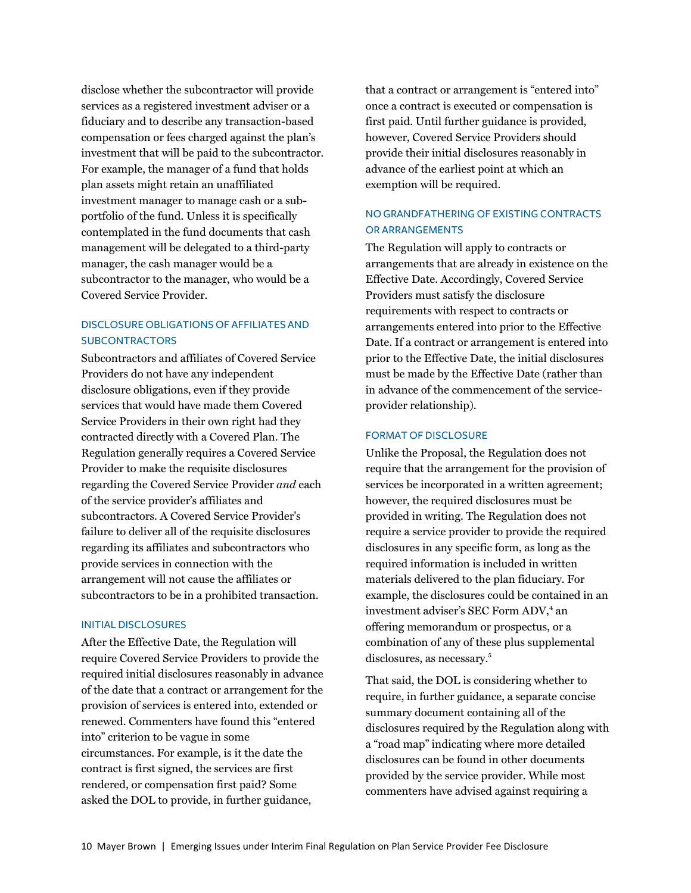disclose whether the subcontractor will provide services as a registered investment adviser or a fiduciary and to describe any transaction-based compensation or fees charged against the plan's investment that will be paid to the subcontractor. For example, the manager of a fund that holds plan assets might retain an unaffiliated investment manager to manage cash or a subportfolio of the fund. Unless it is specifically contemplated in the fund documents that cash management will be delegated to a third-party manager, the cash manager would be a subcontractor to the manager, who would be a Covered Service Provider.

#### DISCLOSURE OBLIGATIONS OF AFFILIATES AND **SUBCONTRACTORS**

Subcontractors and affiliates of Covered Service Providers do not have any independent disclosure obligations, even if they provide services that would have made them Covered Service Providers in their own right had they contracted directly with a Covered Plan. The Regulation generally requires a Covered Service Provider to make the requisite disclosures regarding the Covered Service Provider *and* each of the service provider's affiliates and subcontractors. A Covered Service Provider's failure to deliver all of the requisite disclosures regarding its affiliates and subcontractors who provide services in connection with the arrangement will not cause the affiliates or subcontractors to be in a prohibited transaction.

#### INITIAL DISCLOSURES

After the Effective Date, the Regulation will require Covered Service Providers to provide the required initial disclosures reasonably in advance of the date that a contract or arrangement for the provision of services is entered into, extended or renewed. Commenters have found this "entered into" criterion to be vague in some circumstances. For example, is it the date the contract is first signed, the services are first rendered, or compensation first paid? Some asked the DOL to provide, in further guidance,

that a contract or arrangement is "entered into" once a contract is executed or compensation is first paid. Until further guidance is provided, however, Covered Service Providers should provide their initial disclosures reasonably in advance of the earliest point at which an exemption will be required.

## NO GRANDFATHERING OF EXISTING CONTRACTS OR ARRANGEMENTS

The Regulation will apply to contracts or arrangements that are already in existence on the Effective Date. Accordingly, Covered Service Providers must satisfy the disclosure requirements with respect to contracts or arrangements entered into prior to the Effective Date. If a contract or arrangement is entered into prior to the Effective Date, the initial disclosures must be made by the Effective Date (rather than in advance of the commencement of the serviceprovider relationship).

#### FORMAT OF DISCLOSURE

Unlike the Proposal, the Regulation does not require that the arrangement for the provision of services be incorporated in a written agreement; however, the required disclosures must be provided in writing. The Regulation does not require a service provider to provide the required disclosures in any specific form, as long as the required information is included in written materials delivered to the plan fiduciary. For example, the disclosures could be contained in an investment adviser's SEC Form ADV,<sup>4</sup> an offering memorandum or prospectus, or a combination of any of these plus supplemental disclosures, as necessary.<sup>5</sup>

That said, the DOL is considering whether to require, in further guidance, a separate concise summary document containing all of the disclosures required by the Regulation along with a "road map" indicating where more detailed disclosures can be found in other documents provided by the service provider. While most commenters have advised against requiring a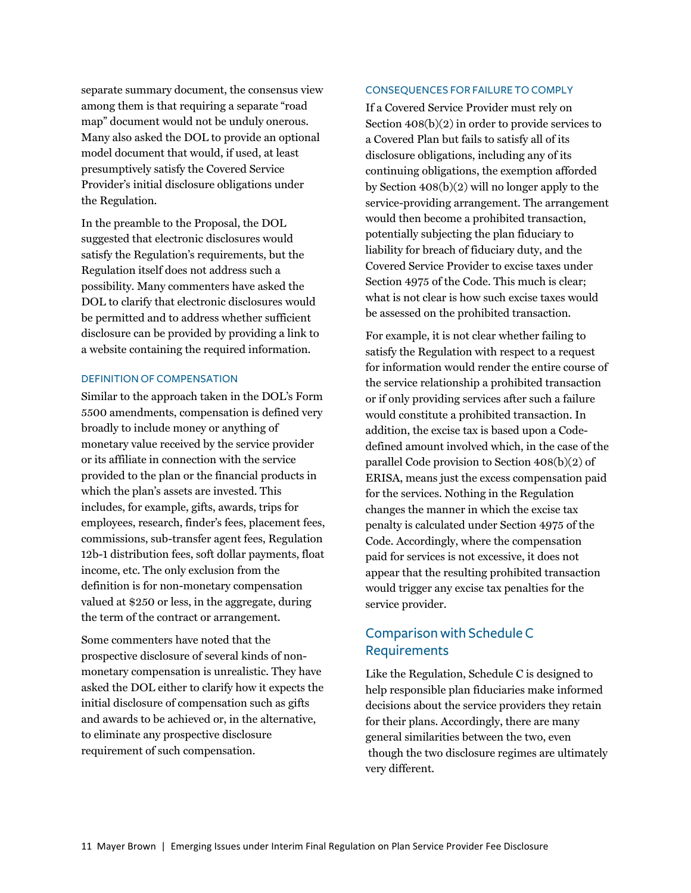separate summary document, the consensus view among them is that requiring a separate "road map" document would not be unduly onerous. Many also asked the DOL to provide an optional model document that would, if used, at least presumptively satisfy the Covered Service Provider's initial disclosure obligations under the Regulation.

In the preamble to the Proposal, the DOL suggested that electronic disclosures would satisfy the Regulation's requirements, but the Regulation itself does not address such a possibility. Many commenters have asked the DOL to clarify that electronic disclosures would be permitted and to address whether sufficient disclosure can be provided by providing a link to a website containing the required information.

#### DEFINITION OF COMPENSATION

Similar to the approach taken in the DOL's Form 5500 amendments, compensation is defined very broadly to include money or anything of monetary value received by the service provider or its affiliate in connection with the service provided to the plan or the financial products in which the plan's assets are invested. This includes, for example, gifts, awards, trips for employees, research, finder's fees, placement fees, commissions, sub-transfer agent fees, Regulation 12b-1 distribution fees, soft dollar payments, float income, etc. The only exclusion from the definition is for non-monetary compensation valued at \$250 or less, in the aggregate, during the term of the contract or arrangement.

Some commenters have noted that the prospective disclosure of several kinds of nonmonetary compensation is unrealistic. They have asked the DOL either to clarify how it expects the initial disclosure of compensation such as gifts and awards to be achieved or, in the alternative, to eliminate any prospective disclosure requirement of such compensation.

#### CONSEQUENCES FOR FAILURE TO COMPLY

If a Covered Service Provider must rely on Section 408(b)(2) in order to provide services to a Covered Plan but fails to satisfy all of its disclosure obligations, including any of its continuing obligations, the exemption afforded by Section 408(b)(2) will no longer apply to the service-providing arrangement. The arrangement would then become a prohibited transaction, potentially subjecting the plan fiduciary to liability for breach of fiduciary duty, and the Covered Service Provider to excise taxes under Section 4975 of the Code. This much is clear; what is not clear is how such excise taxes would be assessed on the prohibited transaction.

For example, it is not clear whether failing to satisfy the Regulation with respect to a request for information would render the entire course of the service relationship a prohibited transaction or if only providing services after such a failure would constitute a prohibited transaction. In addition, the excise tax is based upon a Codedefined amount involved which, in the case of the parallel Code provision to Section 408(b)(2) of ERISA, means just the excess compensation paid for the services. Nothing in the Regulation changes the manner in which the excise tax penalty is calculated under Section 4975 of the Code. Accordingly, where the compensation paid for services is not excessive, it does not appear that the resulting prohibited transaction would trigger any excise tax penalties for the service provider.

# Comparison with Schedule C Requirements

Like the Regulation, Schedule C is designed to help responsible plan fiduciaries make informed decisions about the service providers they retain for their plans. Accordingly, there are many general similarities between the two, even though the two disclosure regimes are ultimately very different.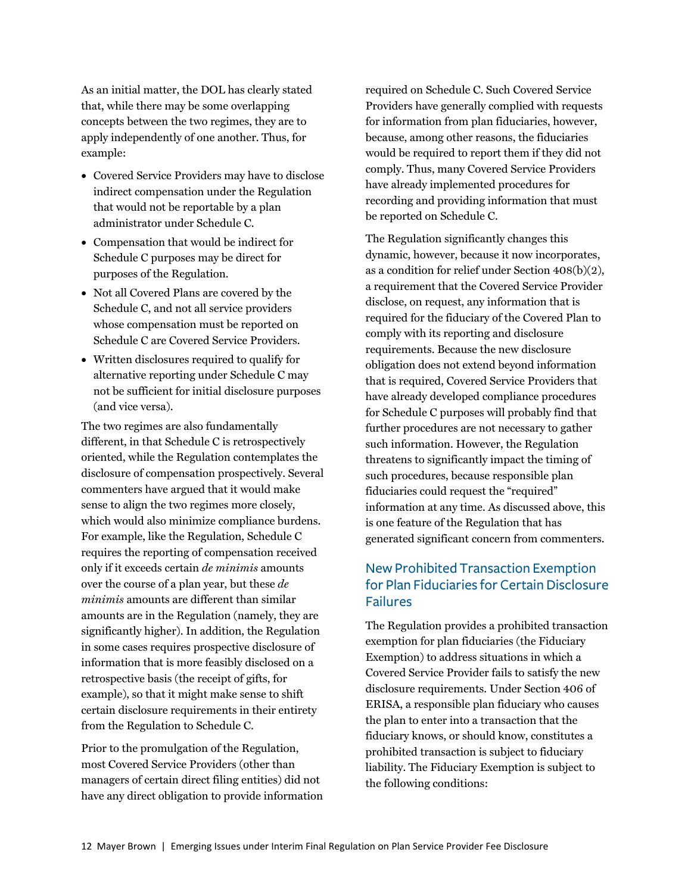As an initial matter, the DOL has clearly stated that, while there may be some overlapping concepts between the two regimes, they are to apply independently of one another. Thus, for example:

- Covered Service Providers may have to disclose indirect compensation under the Regulation that would not be reportable by a plan administrator under Schedule C.
- Compensation that would be indirect for Schedule C purposes may be direct for purposes of the Regulation.
- Not all Covered Plans are covered by the Schedule C, and not all service providers whose compensation must be reported on Schedule C are Covered Service Providers.
- Written disclosures required to qualify for alternative reporting under Schedule C may not be sufficient for initial disclosure purposes (and vice versa).

The two regimes are also fundamentally different, in that Schedule C is retrospectively oriented, while the Regulation contemplates the disclosure of compensation prospectively. Several commenters have argued that it would make sense to align the two regimes more closely, which would also minimize compliance burdens. For example, like the Regulation, Schedule C requires the reporting of compensation received only if it exceeds certain *de minimis* amounts over the course of a plan year, but these *de minimis* amounts are different than similar amounts are in the Regulation (namely, they are significantly higher). In addition, the Regulation in some cases requires prospective disclosure of information that is more feasibly disclosed on a retrospective basis (the receipt of gifts, for example), so that it might make sense to shift certain disclosure requirements in their entirety from the Regulation to Schedule C.

Prior to the promulgation of the Regulation, most Covered Service Providers (other than managers of certain direct filing entities) did not have any direct obligation to provide information

required on Schedule C. Such Covered Service Providers have generally complied with requests for information from plan fiduciaries, however, because, among other reasons, the fiduciaries would be required to report them if they did not comply. Thus, many Covered Service Providers have already implemented procedures for recording and providing information that must be reported on Schedule C.

The Regulation significantly changes this dynamic, however, because it now incorporates, as a condition for relief under Section 408(b)(2), a requirement that the Covered Service Provider disclose, on request, any information that is required for the fiduciary of the Covered Plan to comply with its reporting and disclosure requirements. Because the new disclosure obligation does not extend beyond information that is required, Covered Service Providers that have already developed compliance procedures for Schedule C purposes will probably find that further procedures are not necessary to gather such information. However, the Regulation threatens to significantly impact the timing of such procedures, because responsible plan fiduciaries could request the "required" information at any time. As discussed above, this is one feature of the Regulation that has generated significant concern from commenters.

# New Prohibited Transaction Exemption for Plan Fiduciaries for Certain Disclosure Failures

The Regulation provides a prohibited transaction exemption for plan fiduciaries (the Fiduciary Exemption) to address situations in which a Covered Service Provider fails to satisfy the new disclosure requirements. Under Section 406 of ERISA, a responsible plan fiduciary who causes the plan to enter into a transaction that the fiduciary knows, or should know, constitutes a prohibited transaction is subject to fiduciary liability. The Fiduciary Exemption is subject to the following conditions: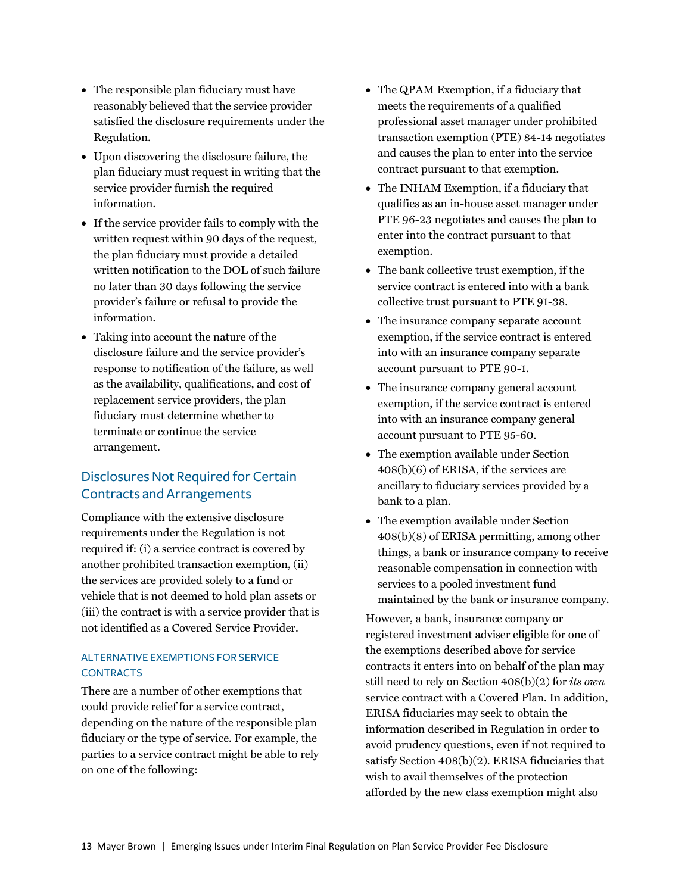- The responsible plan fiduciary must have reasonably believed that the service provider satisfied the disclosure requirements under the Regulation.
- Upon discovering the disclosure failure, the plan fiduciary must request in writing that the service provider furnish the required information.
- If the service provider fails to comply with the written request within 90 days of the request, the plan fiduciary must provide a detailed written notification to the DOL of such failure no later than 30 days following the service provider's failure or refusal to provide the information.
- Taking into account the nature of the disclosure failure and the service provider's response to notification of the failure, as well as the availability, qualifications, and cost of replacement service providers, the plan fiduciary must determine whether to terminate or continue the service arrangement.

# Disclosures Not Required for Certain Contracts and Arrangements

Compliance with the extensive disclosure requirements under the Regulation is not required if: (i) a service contract is covered by another prohibited transaction exemption, (ii) the services are provided solely to a fund or vehicle that is not deemed to hold plan assets or (iii) the contract is with a service provider that is not identified as a Covered Service Provider.

### ALTERNATIVE EXEMPTIONS FOR SERVICE **CONTRACTS**

There are a number of other exemptions that could provide relief for a service contract, depending on the nature of the responsible plan fiduciary or the type of service. For example, the parties to a service contract might be able to rely on one of the following:

- The QPAM Exemption, if a fiduciary that meets the requirements of a qualified professional asset manager under prohibited transaction exemption (PTE) 84-14 negotiates and causes the plan to enter into the service contract pursuant to that exemption.
- The INHAM Exemption, if a fiduciary that qualifies as an in-house asset manager under PTE 96-23 negotiates and causes the plan to enter into the contract pursuant to that exemption.
- The bank collective trust exemption, if the service contract is entered into with a bank collective trust pursuant to PTE 91-38.
- The insurance company separate account exemption, if the service contract is entered into with an insurance company separate account pursuant to PTE 90-1.
- The insurance company general account exemption, if the service contract is entered into with an insurance company general account pursuant to PTE 95-60.
- The exemption available under Section 408(b)(6) of ERISA, if the services are ancillary to fiduciary services provided by a bank to a plan.
- The exemption available under Section 408(b)(8) of ERISA permitting, among other things, a bank or insurance company to receive reasonable compensation in connection with services to a pooled investment fund maintained by the bank or insurance company.

However, a bank, insurance company or registered investment adviser eligible for one of the exemptions described above for service contracts it enters into on behalf of the plan may still need to rely on Section 408(b)(2) for *its own* service contract with a Covered Plan. In addition, ERISA fiduciaries may seek to obtain the information described in Regulation in order to avoid prudency questions, even if not required to satisfy Section 408(b)(2). ERISA fiduciaries that wish to avail themselves of the protection afforded by the new class exemption might also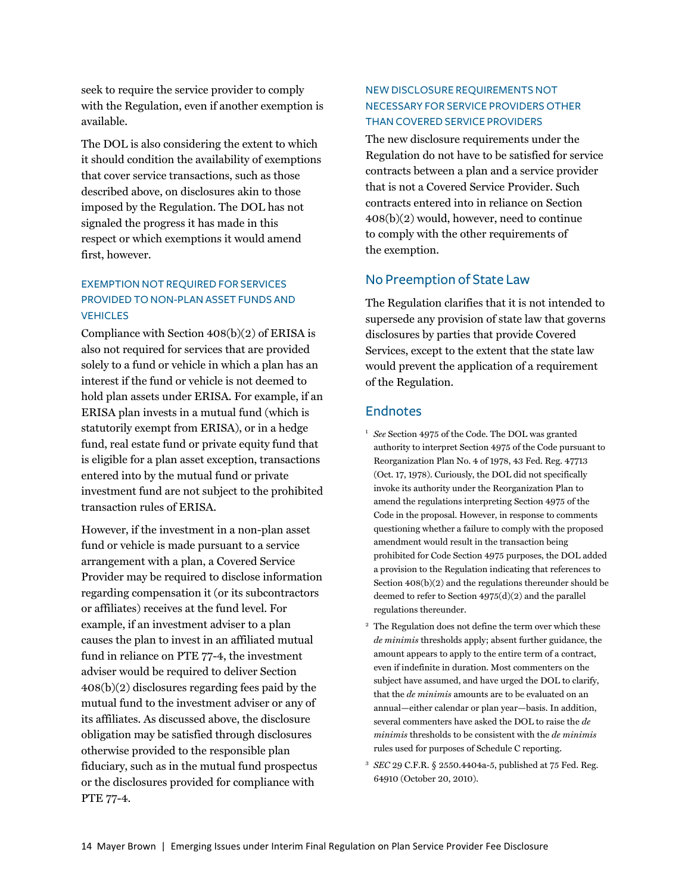seek to require the service provider to comply with the Regulation, even if another exemption is available.

The DOL is also considering the extent to which it should condition the availability of exemptions that cover service transactions, such as those described above, on disclosures akin to those imposed by the Regulation. The DOL has not signaled the progress it has made in this respect or which exemptions it would amend first, however.

# EXEMPTION NOT REQUIRED FOR SERVICES PROVIDED TO NON-PLAN ASSET FUNDS AND **VEHICLES**

Compliance with Section 408(b)(2) of ERISA is also not required for services that are provided solely to a fund or vehicle in which a plan has an interest if the fund or vehicle is not deemed to hold plan assets under ERISA. For example, if an ERISA plan invests in a mutual fund (which is statutorily exempt from ERISA), or in a hedge fund, real estate fund or private equity fund that is eligible for a plan asset exception, transactions entered into by the mutual fund or private investment fund are not subject to the prohibited transaction rules of ERISA.

However, if the investment in a non-plan asset fund or vehicle is made pursuant to a service arrangement with a plan, a Covered Service Provider may be required to disclose information regarding compensation it (or its subcontractors or affiliates) receives at the fund level. For example, if an investment adviser to a plan causes the plan to invest in an affiliated mutual fund in reliance on PTE 77-4, the investment adviser would be required to deliver Section 408(b)(2) disclosures regarding fees paid by the mutual fund to the investment adviser or any of its affiliates. As discussed above, the disclosure obligation may be satisfied through disclosures otherwise provided to the responsible plan fiduciary, such as in the mutual fund prospectus or the disclosures provided for compliance with PTE 77-4.

## NEW DISCLOSURE REQUIREMENTS NOT NECESSARY FOR SERVICE PROVIDERS OTHER THAN COVERED SERVICE PROVIDERS

The new disclosure requirements under the Regulation do not have to be satisfied for service contracts between a plan and a service provider that is not a Covered Service Provider. Such contracts entered into in reliance on Section 408(b)(2) would, however, need to continue to comply with the other requirements of the exemption.

## No Preemption of State Law

The Regulation clarifies that it is not intended to supersede any provision of state law that governs disclosures by parties that provide Covered Services, except to the extent that the state law would prevent the application of a requirement of the Regulation.

### Endnotes

- <sup>1</sup> See Section 4975 of the Code. The DOL was granted authority to interpret Section 4975 of the Code pursuant to Reorganization Plan No. 4 of 1978, 43 Fed. Reg. 47713 (Oct. 17, 1978). Curiously, the DOL did not specifically invoke its authority under the Reorganization Plan to amend the regulations interpreting Section 4975 of the Code in the proposal. However, in response to comments questioning whether a failure to comply with the proposed amendment would result in the transaction being prohibited for Code Section 4975 purposes, the DOL added a provision to the Regulation indicating that references to Section 408(b)(2) and the regulations thereunder should be deemed to refer to Section 4975(d)(2) and the parallel regulations thereunder.
- 2 The Regulation does not define the term over which these *de minimis* thresholds apply; absent further guidance, the amount appears to apply to the entire term of a contract, even if indefinite in duration. Most commenters on the subject have assumed, and have urged the DOL to clarify, that the *de minimis* amounts are to be evaluated on an annual—either calendar or plan year—basis. In addition, several commenters have asked the DOL to raise the *de minimis* thresholds to be consistent with the *de minimis* rules used for purposes of Schedule C reporting.
- <sup>3</sup> *SEC* 29 C.F.R. § 2550.4404a-5, published at 75 Fed. Reg. 64910 (October 20, 2010).